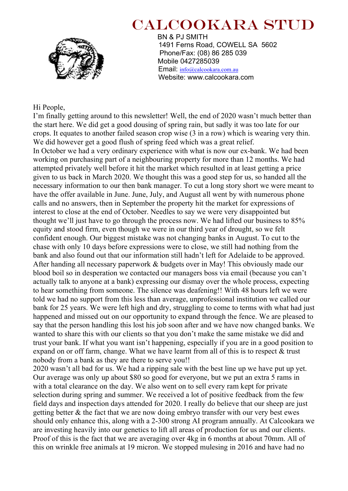

# CALCOOKARA STUD

 BN & PJ SMITH 1491 Ferns Road, COWELL SA 5602 Phone/Fax: (08) 86 285 039 Mobile 0427285039 Email: info@calcookara.com.au Website: www.calcookara.com

#### Hi People,

I'm finally getting around to this newsletter! Well, the end of 2020 wasn't much better than the start here. We did get a good dousing of spring rain, but sadly it was too late for our crops. It equates to another failed season crop wise (3 in a row) which is wearing very thin. We did however get a good flush of spring feed which was a great relief. In October we had a very ordinary experience with what is now our ex-bank. We had been working on purchasing part of a neighbouring property for more than 12 months. We had attempted privately well before it hit the market which resulted in at least getting a price given to us back in March 2020. We thought this was a good step for us, so handed all the necessary information to our then bank manager. To cut a long story short we were meant to have the offer available in June. June, July, and August all went by with numerous phone calls and no answers, then in September the property hit the market for expressions of interest to close at the end of October. Needles to say we were very disappointed but thought we'll just have to go through the process now. We had lifted our business to 85% equity and stood firm, even though we were in our third year of drought, so we felt confident enough. Our biggest mistake was not changing banks in August. To cut to the chase with only 10 days before expressions were to close, we still had nothing from the bank and also found out that our information still hadn't left for Adelaide to be approved. After handing all necessary paperwork & budgets over in May! This obviously made our blood boil so in desperation we contacted our managers boss via email (because you can't actually talk to anyone at a bank) expressing our dismay over the whole process, expecting to hear something from someone. The silence was deafening!! With 48 hours left we were told we had no support from this less than average, unprofessional institution we called our bank for 25 years. We were left high and dry, struggling to come to terms with what had just happened and missed out on our opportunity to expand through the fence. We are pleased to say that the person handling this lost his job soon after and we have now changed banks. We wanted to share this with our clients so that you don't make the same mistake we did and trust your bank. If what you want isn't happening, especially if you are in a good position to expand on or off farm, change. What we have learnt from all of this is to respect & trust nobody from a bank as they are there to serve you!!

2020 wasn't all bad for us. We had a ripping sale with the best line up we have put up yet. Our average was only up about \$80 so good for everyone, but we put an extra 5 rams in with a total clearance on the day. We also went on to sell every ram kept for private selection during spring and summer. We received a lot of positive feedback from the few field days and inspection days attended for 2020. I really do believe that our sheep are just getting better & the fact that we are now doing embryo transfer with our very best ewes should only enhance this, along with a 2-300 strong AI program annually. At Calcookara we are investing heavily into our genetics to lift all areas of production for us and our clients. Proof of this is the fact that we are averaging over 4kg in 6 months at about 70mm. All of this on wrinkle free animals at 19 micron. We stopped mulesing in 2016 and have had no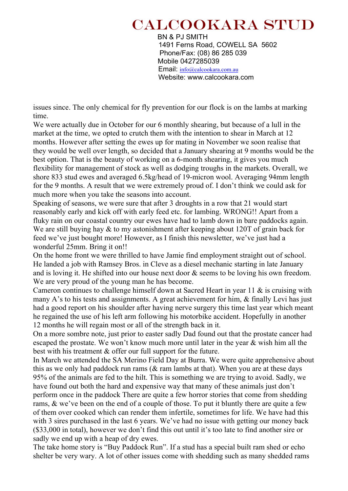## CALCOOKARA STUD

 BN & PJ SMITH 1491 Ferns Road, COWELL SA 5602 Phone/Fax: (08) 86 285 039 Mobile 0427285039 Email: info@calcookara.com.au Website: www.calcookara.com

issues since. The only chemical for fly prevention for our flock is on the lambs at marking time.

We were actually due in October for our 6 monthly shearing, but because of a lull in the market at the time, we opted to crutch them with the intention to shear in March at 12 months. However after setting the ewes up for mating in November we soon realise that they would be well over length, so decided that a January shearing at 9 months would be the best option. That is the beauty of working on a 6-month shearing, it gives you much flexibility for management of stock as well as dodging troughs in the markets. Overall, we shore 833 stud ewes and averaged 6.5kg/head of 19-micron wool. Averaging 94mm length for the 9 months. A result that we were extremely proud of. I don't think we could ask for much more when you take the seasons into account.

Speaking of seasons, we were sure that after 3 droughts in a row that 21 would start reasonably early and kick off with early feed etc. for lambing. WRONG!! Apart from a fluky rain on our coastal country our ewes have had to lamb down in bare paddocks again. We are still buying hay & to my astonishment after keeping about 120T of grain back for feed we've just bought more! However, as I finish this newsletter, we've just had a wonderful 25mm. Bring it on!!

On the home front we were thrilled to have Jamie find employment straight out of school. He landed a job with Ramsey Bros. in Cleve as a diesel mechanic starting in late January and is loving it. He shifted into our house next door & seems to be loving his own freedom. We are very proud of the young man he has become.

Cameron continues to challenge himself down at Sacred Heart in year 11 & is cruising with many A's to his tests and assignments. A great achievement for him, & finally Levi has just had a good report on his shoulder after having nerve surgery this time last year which meant he regained the use of his left arm following his motorbike accident. Hopefully in another 12 months he will regain most or all of the strength back in it.

On a more sombre note, just prior to easter sadly Dad found out that the prostate cancer had escaped the prostate. We won't know much more until later in the year & wish him all the best with his treatment & offer our full support for the future.

In March we attended the SA Merino Field Day at Burra. We were quite apprehensive about this as we only had paddock run rams ( $\&$  ram lambs at that). When you are at these days 95% of the animals are fed to the hilt. This is something we are trying to avoid. Sadly, we have found out both the hard and expensive way that many of these animals just don't perform once in the paddock There are quite a few horror stories that come from shedding rams, & we've been on the end of a couple of those. To put it bluntly there are quite a few of them over cooked which can render them infertile, sometimes for life. We have had this with 3 sires purchased in the last 6 years. We've had no issue with getting our money back (\$33,000 in total), however we don't find this out until it's too late to find another sire or sadly we end up with a heap of dry ewes.

The take home story is "Buy Paddock Run". If a stud has a special built ram shed or echo shelter be very wary. A lot of other issues come with shedding such as many shedded rams